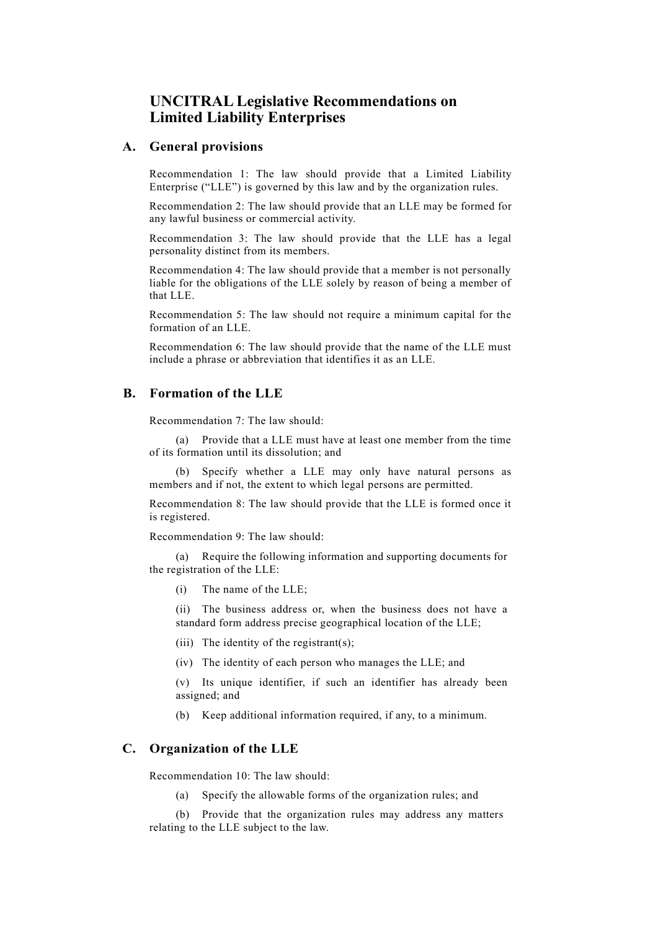# **UNCITRAL Legislative Recommendations on Limited Liability Enterprises**

#### **A. General provisions**

Recommendation 1: The law should provide that a Limited Liability Enterprise ("LLE") is governed by this law and by the organization rules.

Recommendation 2: The law should provide that an LLE may be formed for any lawful business or commercial activity.

Recommendation 3: The law should provide that the LLE has a legal personality distinct from its members.

Recommendation 4: The law should provide that a member is not personally liable for the obligations of the LLE solely by reason of being a member of that LLE.

Recommendation 5: The law should not require a minimum capital for the formation of an LLE.

Recommendation 6: The law should provide that the name of the LLE must include a phrase or abbreviation that identifies it as an LLE.

## **B. Formation of the LLE**

Recommendation 7: The law should:

(a) Provide that a LLE must have at least one member from the time of its formation until its dissolution; and

(b) Specify whether a LLE may only have natural persons as members and if not, the extent to which legal persons are permitted.

Recommendation 8: The law should provide that the LLE is formed once it is registered.

Recommendation 9: The law should:

(a) Require the following information and supporting documents for the registration of the LLE:

(i) The name of the LLE;

(ii) The business address or, when the business does not have a standard form address precise geographical location of the LLE;

(iii) The identity of the registrant(s);

(iv) The identity of each person who manages the LLE; and

(v) Its unique identifier, if such an identifier has already been assigned; and

(b) Keep additional information required, if any, to a minimum.

### **C. Organization of the LLE**

Recommendation 10: The law should:

(a) Specify the allowable forms of the organization rules; and

(b) Provide that the organization rules may address any matters relating to the LLE subject to the law.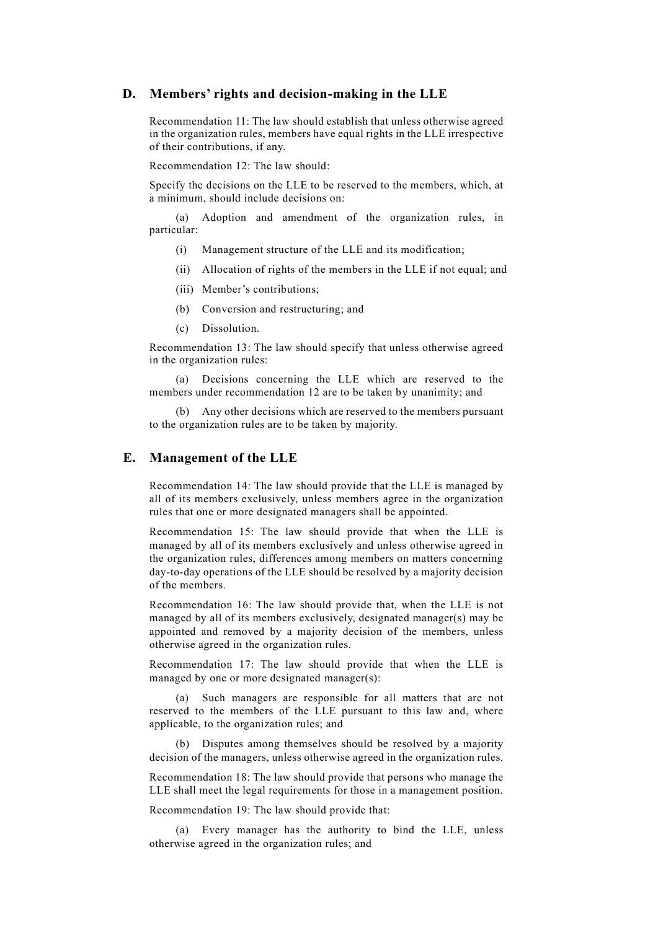### **D. Members' rights and decision-making in the LLE**

Recommendation 11: The law should establish that unless otherwise agreed in the organization rules, members have equal rights in the LLE irrespective of their contributions, if any.

Recommendation 12: The law should:

Specify the decisions on the LLE to be reserved to the members, which, at a minimum, should include decisions on:

(a) Adoption and amendment of the organization rules, in particular:

- (i) Management structure of the LLE and its modification;
- (ii) Allocation of rights of the members in the LLE if not equal; and
- (iii) Member's contributions;
- (b) Conversion and restructuring; and
- (c) Dissolution.

Recommendation 13: The law should specify that unless otherwise agreed in the organization rules:

(a) Decisions concerning the LLE which are reserved to the members under recommendation 12 are to be taken by unanimity; and

(b) Any other decisions which are reserved to the members pursuant to the organization rules are to be taken by majority.

#### **E. Management of the LLE**

Recommendation 14: The law should provide that the LLE is managed by all of its members exclusively, unless members agree in the organization rules that one or more designated managers shall be appointed.

Recommendation 15: The law should provide that when the LLE is managed by all of its members exclusively and unless otherwise agreed in the organization rules, differences among members on matters concerning day-to-day operations of the LLE should be resolved by a majority decision of the members.

Recommendation 16: The law should provide that, when the LLE is not managed by all of its members exclusively, designated manager(s) may be appointed and removed by a majority decision of the members, unless otherwise agreed in the organization rules.

Recommendation 17: The law should provide that when the LLE is managed by one or more designated manager(s):

(a) Such managers are responsible for all matters that are not reserved to the members of the LLE pursuant to this law and, where applicable, to the organization rules; and

(b) Disputes among themselves should be resolved by a majority decision of the managers, unless otherwise agreed in the organization rules.

Recommendation 18: The law should provide that persons who manage the LLE shall meet the legal requirements for those in a management position.

Recommendation 19: The law should provide that:

(a) Every manager has the authority to bind the LLE, unless otherwise agreed in the organization rules; and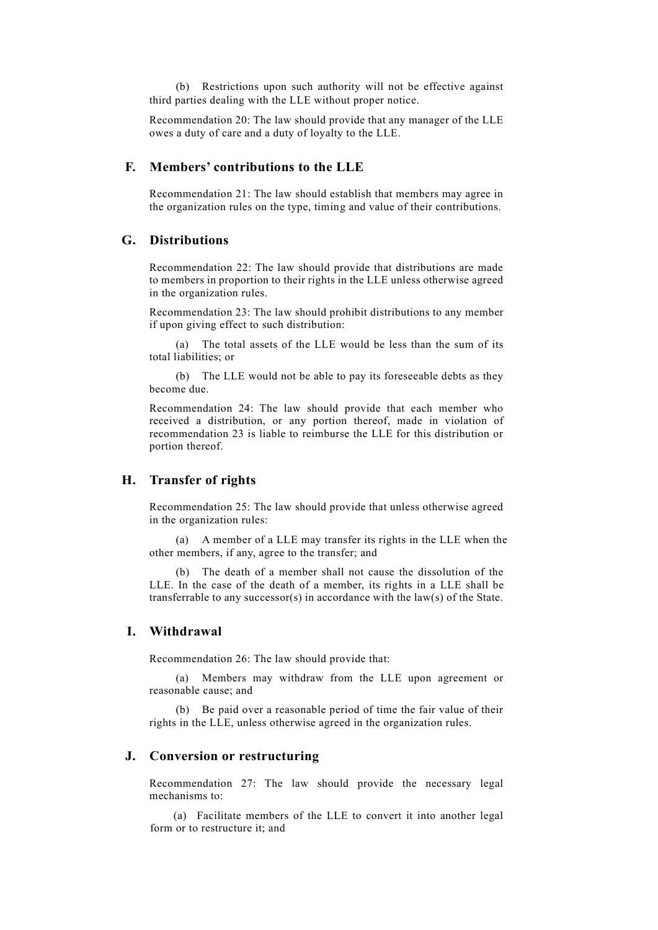(b) Restrictions upon such authority will not be effective against third parties dealing with the LLE without proper notice.

Recommendation 20: The law should provide that any manager of the LLE owes a duty of care and a duty of loyalty to the LLE.

### **F. Members' contributions to the LLE**

Recommendation 21: The law should establish that members may agree in the organization rules on the type, timing and value of their contributions.

## **G. Distributions**

Recommendation 22: The law should provide that distributions are made to members in proportion to their rights in the LLE unless otherwise agreed in the organization rules.

Recommendation 23: The law should prohibit distributions to any member if upon giving effect to such distribution:

(a) The total assets of the LLE would be less than the sum of its total liabilities; or

(b) The LLE would not be able to pay its foreseeable debts as they become due.

Recommendation 24: The law should provide that each member who received a distribution, or any portion thereof, made in violation of recommendation 23 is liable to reimburse the LLE for this distribution or portion thereof.

### **H. Transfer of rights**

Recommendation 25: The law should provide that unless otherwise agreed in the organization rules:

(a) A member of a LLE may transfer its rights in the LLE when the other members, if any, agree to the transfer; and

(b) The death of a member shall not cause the dissolution of the LLE. In the case of the death of a member, its rights in a LLE shall be transferrable to any successor(s) in accordance with the  $law(s)$  of the State.

## **I. Withdrawal**

Recommendation 26: The law should provide that:

(a) Members may withdraw from the LLE upon agreement or reasonable cause; and

(b) Be paid over a reasonable period of time the fair value of their rights in the LLE, unless otherwise agreed in the organization rules.

### **J. Conversion or restructuring**

Recommendation 27: The law should provide the necessary legal mechanisms to:

(a) Facilitate members of the LLE to convert it into another legal form or to restructure it; and